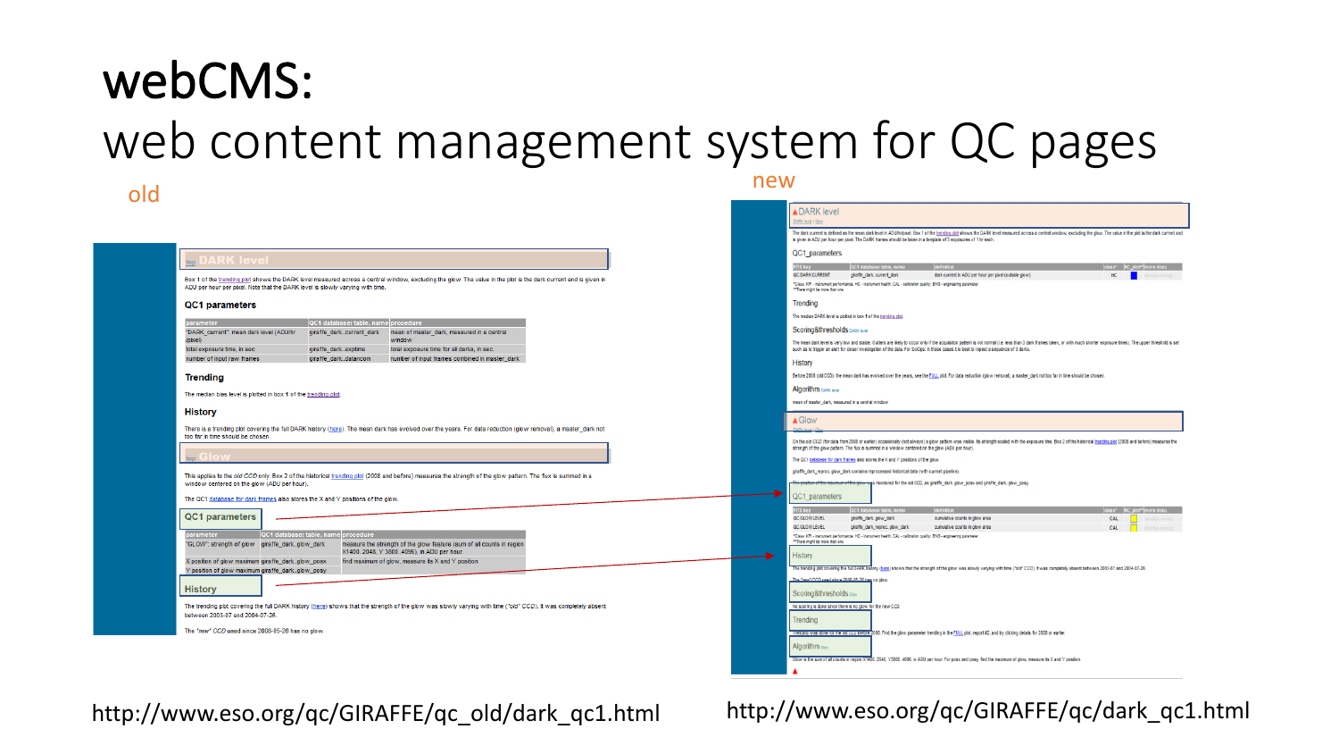### webCMS: web content management system for QC pages old new results and the contract of the contract of the contract of the contract of the contract of the contract of the contract of the contract of the contract of the contract of the contract of the contract of the contra

#### RK level | Glos QC1 parameters  $top$ Box 1 of the trending plot shows the DARK level measured across a central window, excluding the glow. The value in the plot is the dark current and is given in ADU per hour per pixel. Note that the DARK level is slowly varying with time. Trending QC1 parameters nci d "DARK\_current": mean dark level (ADU/hr giraffe dark..current dark mean of master\_dark, measured in a central (lexia) window total exposure time, in sec giraffe\_dark..exptime total exposure time for all darks, in sec number of input raw frames giraffe\_dark..datancom number of input frames combined in master dark History Trendina Algorithm DARK level The median bias level is plotted in box 1 of the trending plot. **History**  $\triangle$  Glow There is a trending plot covering the full DARK history (here). The mean dark has evolved over the years. For data reduction (glow removal), a master\_dark not too far in time should be chosen This applies to the old CCD only. Box 2 of the historical trending plot (2008 and before) measures the strength of the glow pattern. The flux is summed in a window centered on the glow (ADU per hour). **C1\_parameters** The QC1 database for dark frames also stores the X and Y positions of the glow **FITS** key QC1 parameters QC.GLOW.LEVEL OC CLOWLEVEL. There might be more than one "GLOW": strength of glow giraffe dark..glow dark measure the strength of the glow feature (sum of all counts in region X1400 2048 Y 3800 4096), in ADU per hour. **History** X position of glow maximum giraffe\_dark..glow\_posx find maximum of glow, measure its X and Y position Y position of glow maximum giraffe\_dark..glow\_posy History Scoring&thresholds Glau The trending plot covering the full DARK history (here) shows that the strength of the glow was slowly varying with time ("old" CCD). It was completely absent between 2003-07 and 2004-07-26. Trending The "new" CCD used since 2008-05-26 has no glow



http://www.eso.org/qc/GIRAFFE/qc\_old/dark\_qc1.html http://www.eso.org/qc/GIRAFFE/qc/dark\_qc1.html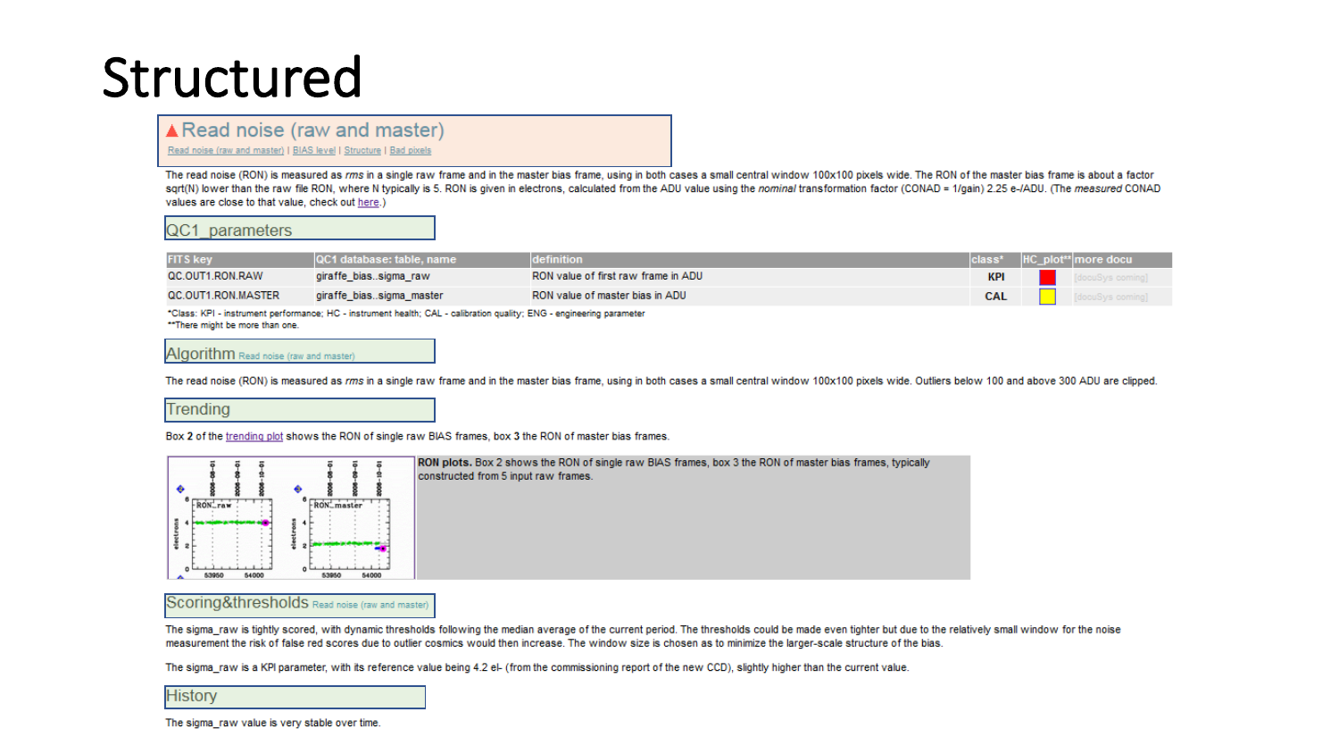### Structured

### ▲ Read noise (raw and master)

Read noise (raw and master) | BIAS level | Structure | Bad pixels

The read noise (RON) is measured as rms in a single raw frame and in the master bias frame, using in both cases a small central window 100x100 pixels wide. The RON of the master bias frame is about a factor sqrt(N) lower than the raw file RON, where N typically is 5. RON is given in electrons, calculated from the ADU value using the nominal transformation factor (CONAD = 1/gain) 2.25 e-/ADU. (The measured CONAD values are close to that value, check out here.)

#### QC1 parameters

| <b>FITS key</b>    | <b>QC1</b> database: table, name | definition                          |            | $ class^* HC_p ot^{**} more docu$ |
|--------------------|----------------------------------|-------------------------------------|------------|-----------------------------------|
| QC.OUT1.RON.RAW    | giraffe biassigma_raw            | RON value of first raw frame in ADU | KPI        | [docuSys coming]                  |
| QC.OUT1.RON.MASTER | giraffe biassigma_master         | RON value of master bias in ADU     | <b>CAL</b> | [docuSys coming]                  |

\*Class: KPI - instrument performance; HC - instrument health; CAL - calibration quality; ENG - engineering parameter \*\*There might be more than one.

#### Algorithm Read noise (raw and master)

The read noise (RON) is measured as rms in a single raw frame and in the master bias frame, using in both cases a small central window 100x100 pixels wide. Outliers below 100 and above 300 ADU are clipped.

#### Trending

Box 2 of the trending plot shows the RON of single raw BIAS frames, box 3 the RON of master bias frames.



RON plots. Box 2 shows the RON of single raw BIAS frames, box 3 the RON of master bias frames, typically constructed from 5 input raw frames.

#### Scoring&thresholds Read noise (raw and master)

The sigma\_raw is tightly scored, with dynamic thresholds following the median average of the current period. The thresholds could be made even tighter but due to the relatively small window for the noise measurement the risk of false red scores due to outlier cosmics would then increase. The window size is chosen as to minimize the larger-scale structure of the bias.

The sigma\_raw is a KPI parameter, with its reference value being 4.2 el- (from the commissioning report of the new CCD), slightly higher than the current value.

| <b>History</b> |  |
|----------------|--|
|----------------|--|

The sigma raw value is very stable over time.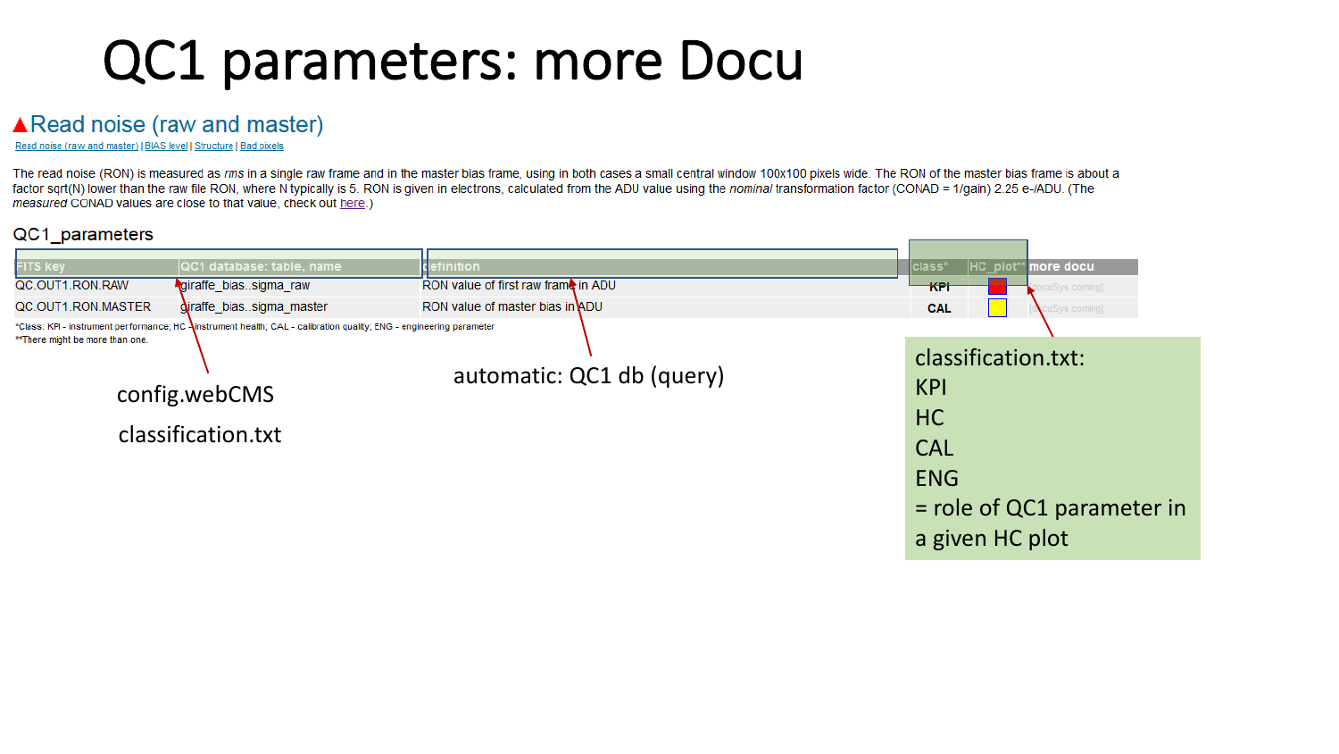## QC1 parameters: more Docu

### **A** Read noise (raw and master)

Read noise (raw and master) | BIAS level | Structure | Bad pixels

The read noise (RON) is measured as rms in a single raw frame and in the master bias frame, using in both cases a small central window 100x100 pixels wide. The RON of the master bias frame is about a factor sqrt(N) lower than the raw file RON, where N typically is 5. RON is given in electrons, calculated from the ADU value using the nominal transformation factor (CONAD = 1/gain) 2.25 e-/ADU. (The measured CONAD values are close to that value, check out here.)

### QC1\_parameters

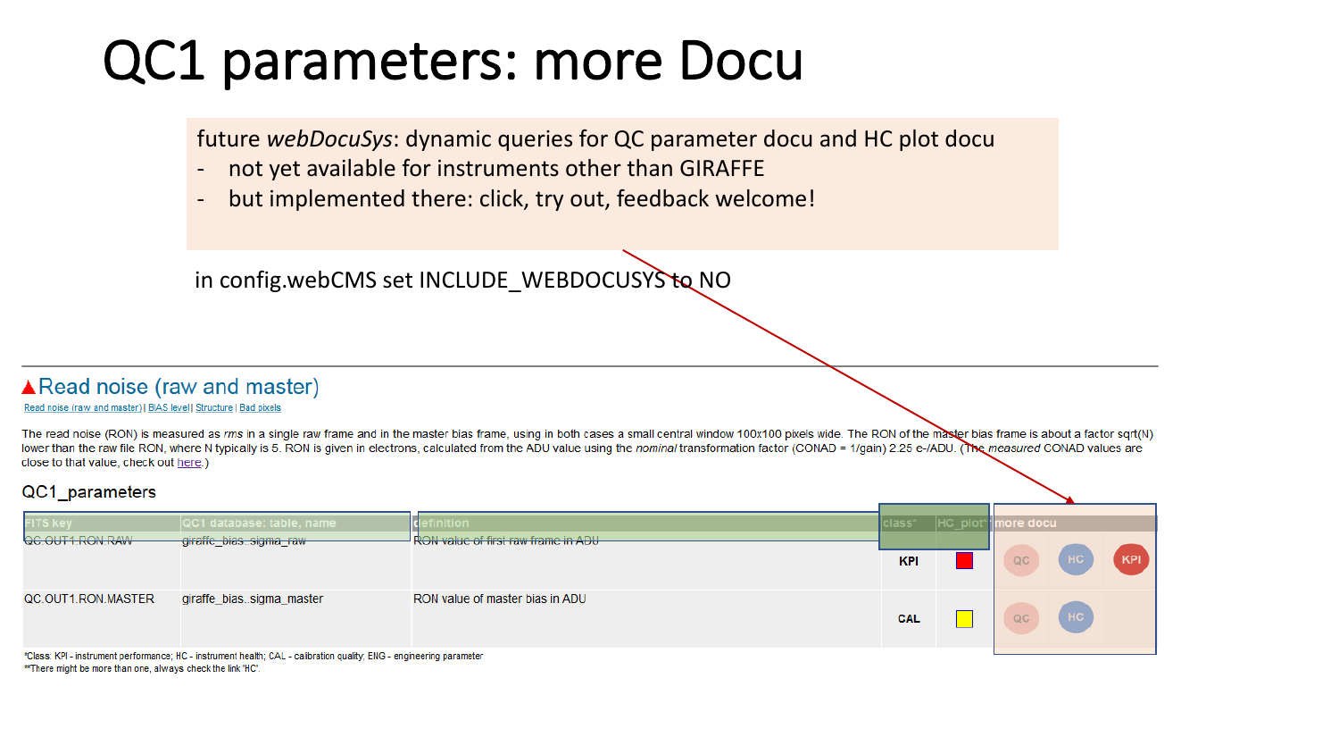## QC1 parameters: more Docu

future *webDocuSys*: dynamic queries for QC parameter docu and HC plot docu

- not yet available for instruments other than GIRAFFE
- but implemented there: click, try out, feedback welcome!

in config.webCMS set INCLUDE\_WEBDOCUSYS to NO

### ▲ Read noise (raw and master)

#### Read noise (raw and master) I BIAS level I Structure I Bad pixels

The read noise (RON) is measured as rms in a single raw frame and in the master bias frame, using in both cases a small central window 100x100 pixels wide. The RON of the master bias frame is about a factor sqrt(N) lower than the raw file RON, where N typically is 5. RON is given in electrons, calculated from the ADU value using the nominal transformation factor (CONAD = 1/gain) 2.25 e-/ADU. The measured CONAD values are close to that value, check out here.)

### QC1 parameters

| $\overline{\phantom{0}}$                                                                                             |                           |                                            |            |                            |    |                |       |
|----------------------------------------------------------------------------------------------------------------------|---------------------------|--------------------------------------------|------------|----------------------------|----|----------------|-------|
| <b>FITS key</b>                                                                                                      | QC1 database: table, name | <u>Inition</u>                             |            | class* HC_plot*" more docu |    |                |       |
| QC.OUT1.RON.RAW                                                                                                      | giraffe_biassigma_raw     | <b>RON value of first raw frame in ADU</b> |            |                            |    |                |       |
|                                                                                                                      |                           |                                            | <b>KPI</b> |                            | QC | $($ HC $)$     | (KPI) |
| QC.OUT1.RON.MASTER                                                                                                   | giraffe_biassigma_master  | RON value of master bias in ADU            | <b>CAL</b> |                            | QC | H <sub>C</sub> |       |
| *Class: KPI - instrument performance; HC - instrument health; CAL - calibration quality; ENG - engineering parameter |                           |                                            |            |                            |    |                |       |

\*\* There might be more than one, always check the link 'HC'.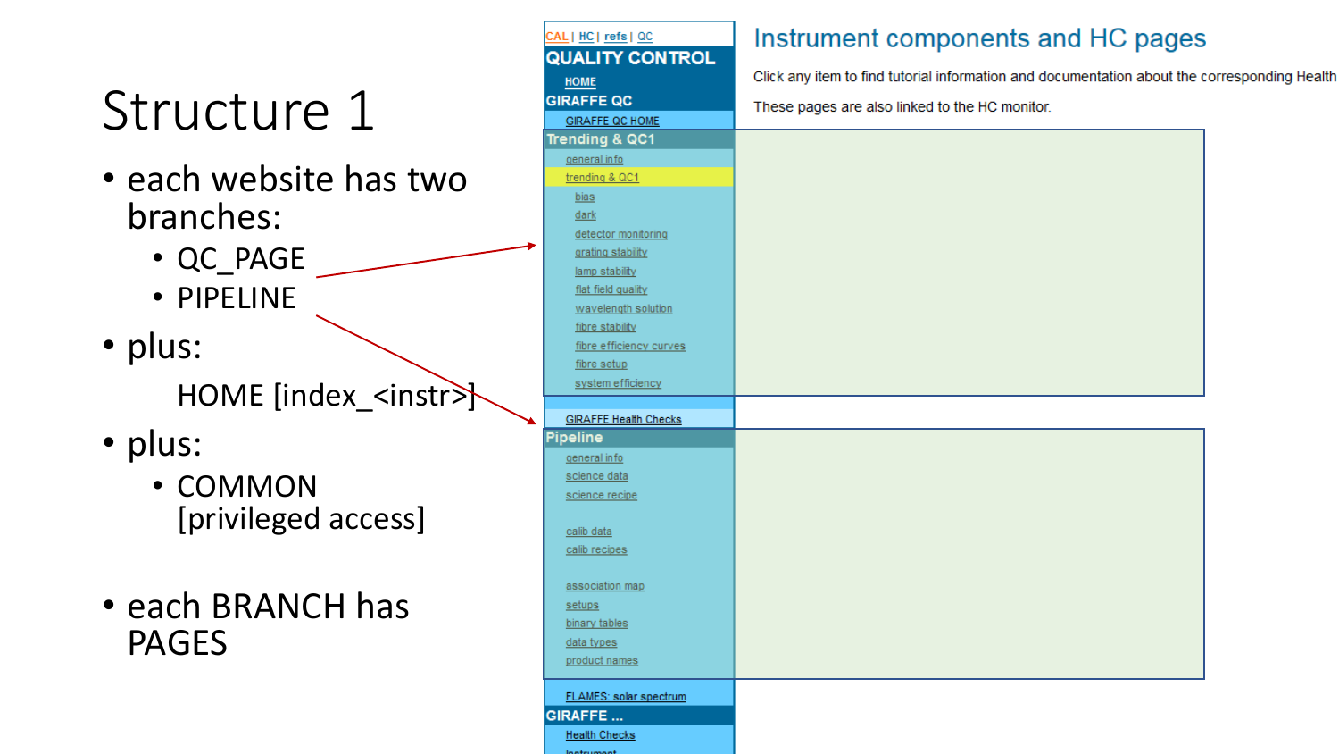# Structure 1

- each website has two branches:
	- QC\_PAGE
	- PIPELINE
- plus: HOME [index\_<instr>
- plus:
	- COMMON [privileged access]
- each BRANCH has PAGES

| <u>CAL   HC   refs   QC</u>  | Instrument components and HC pages                                                           |  |
|------------------------------|----------------------------------------------------------------------------------------------|--|
| <b>QUALITY CONTROL</b>       |                                                                                              |  |
| <b>HOME</b>                  | Click any item to find tutorial information and documentation about the corresponding Health |  |
| <b>GIRAFFE QC</b>            | These pages are also linked to the HC monitor.                                               |  |
| <b>GIRAFFE QC HOME</b>       |                                                                                              |  |
| Trending & QC1               |                                                                                              |  |
| general info                 |                                                                                              |  |
| trending & QC1               |                                                                                              |  |
| bias                         |                                                                                              |  |
| <b>dark</b>                  |                                                                                              |  |
| detector monitoring          |                                                                                              |  |
| grating stability            |                                                                                              |  |
| lamp stability               |                                                                                              |  |
| flat field quality           |                                                                                              |  |
| wavelength solution          |                                                                                              |  |
| fibre stability              |                                                                                              |  |
| fibre efficiency curves      |                                                                                              |  |
| fibre setup                  |                                                                                              |  |
| system efficiency            |                                                                                              |  |
|                              |                                                                                              |  |
| <b>GIRAFFE Health Checks</b> |                                                                                              |  |
| Pipeline                     |                                                                                              |  |
| general info                 |                                                                                              |  |
| science data                 |                                                                                              |  |
| science recipe               |                                                                                              |  |
|                              |                                                                                              |  |
| calib data<br>calib recipes  |                                                                                              |  |
|                              |                                                                                              |  |
| association map              |                                                                                              |  |
| setups                       |                                                                                              |  |
| binary tables                |                                                                                              |  |
| data types                   |                                                                                              |  |
| product names                |                                                                                              |  |
|                              |                                                                                              |  |
| FLAMES: solar spectrum       |                                                                                              |  |
| GIRAFFE                      |                                                                                              |  |
| <b>Health Checks</b>         |                                                                                              |  |
| <b>Indian Import</b>         |                                                                                              |  |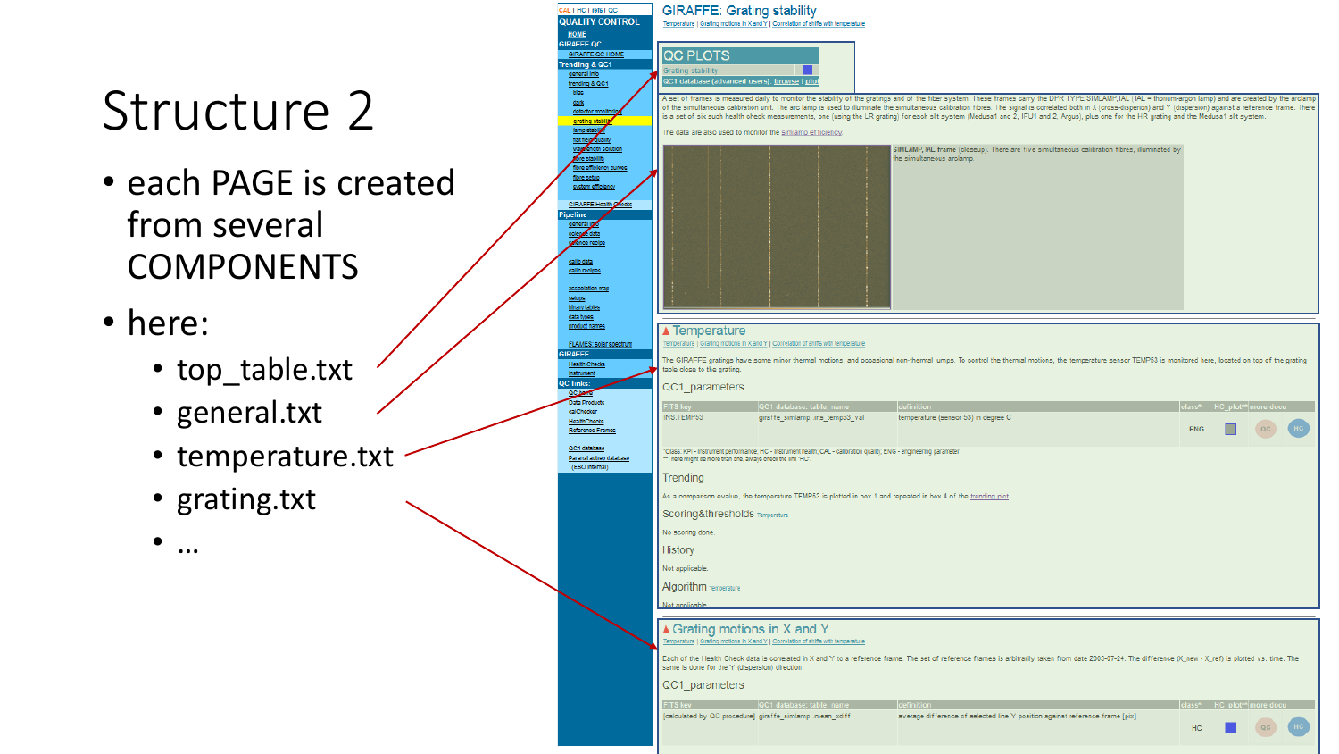# Structure 2

- each PAGE is created from several COMPONENTS
- here:
	- top\_table.txt
	- general.txt
	- temperature.txt
	- grating.txt

• …

| <b>QUALITY CONTROL</b>                  |
|-----------------------------------------|
| <b>HOME</b>                             |
| <b>GIRAFFE QC</b>                       |
| GIRAFFE QC HOME                         |
| Trending & QC1                          |
| general info                            |
| trending & QC1                          |
| blas                                    |
| dark                                    |
| detector monitorir                      |
| grating stability                       |
| lamp stablize                           |
| flat field quality                      |
| way rength solution                     |
| fore stability                          |
| fibre efficiency curves                 |
| fibre setup                             |
| system emclency                         |
| GIRAFFE Health Crecks                   |
|                                         |
| Pipeline<br>general loss                |
| scienze data                            |
| sence recipe                            |
|                                         |
| calib data                              |
| calib recipes                           |
|                                         |
| association map                         |
| setups                                  |
| blnary tables                           |
| data types                              |
| product names                           |
|                                         |
| FLAMES: solar spectrum                  |
| <b>GIRAFFE</b>                          |
| <b>Health Checks</b>                    |
| Instrument                              |
| QC links:                               |
| QC home                                 |
| Data Products<br>calChecker             |
|                                         |
| <b>HealthChecks</b><br>Reference Frames |
|                                         |

QC1 database Paranal autrep database (ESO Internal)

CAL | HC | refs | QC

#### **GIRAFFE: Grating stability** Temperature | Grating motions in X and Y | Correlation of shifts with temperature



A set of frames is measured daily to monitor the stability of the gratings and of the fiber system. These frames carry the DPR TYPE SIMLAMP,TAL (TAL = thorium-argon lamp) and are created by the arclam of the simultaneous calibration unit. The arc lamp is used to illuminate the simultaneous calibration fibres. The signal is correlated both in X (cross-disperion) and Y (dispersion) against a reference frame. There is a set of six such health check measurements, one (using the LR grating) for each slit system (Medusa1 and 2, IFU1 and 2, Argus), plus one for the HR grating and the Medusa1 slit system.

The data are also used to monitor the simlamp efficiency.

|  |  |                           | SIMLAMP, TAL frame (closeup). There are five simultaneous calibration fibres, illuminated b |  |
|--|--|---------------------------|---------------------------------------------------------------------------------------------|--|
|  |  | the simultaneous arclamp. |                                                                                             |  |
|  |  |                           |                                                                                             |  |
|  |  |                           |                                                                                             |  |
|  |  |                           |                                                                                             |  |
|  |  |                           |                                                                                             |  |
|  |  |                           |                                                                                             |  |
|  |  |                           |                                                                                             |  |
|  |  |                           |                                                                                             |  |
|  |  |                           |                                                                                             |  |
|  |  |                           |                                                                                             |  |
|  |  |                           |                                                                                             |  |
|  |  |                           |                                                                                             |  |
|  |  |                           |                                                                                             |  |
|  |  |                           |                                                                                             |  |
|  |  |                           |                                                                                             |  |
|  |  |                           |                                                                                             |  |
|  |  |                           |                                                                                             |  |
|  |  |                           |                                                                                             |  |
|  |  |                           |                                                                                             |  |
|  |  |                           |                                                                                             |  |
|  |  |                           |                                                                                             |  |
|  |  |                           |                                                                                             |  |
|  |  |                           |                                                                                             |  |

#### ▲ Temperature

Temperature | Grating motions in X and Y | Correlation of shifts with temperature

The GIRAFFE gratings have some minor thermal motions, and occasional non-thermal jumps. To control the thermal motions, the temperature sensor TEMP53 is monitored here, located on top of the grating table close to the grating.

#### QC1\_parameters

| FITS key                                                   | QC1 database: table, name                                                                                            | definition                          |            | class* HC_plot** more docu |  |  |
|------------------------------------------------------------|----------------------------------------------------------------------------------------------------------------------|-------------------------------------|------------|----------------------------|--|--|
| INS.TEMP53                                                 | giraffe_simlampins_temp53_val                                                                                        | temperature (sensor 53) in degree C | <b>ENG</b> |                            |  |  |
| "There might be more than one, always check the link 'HC'. | *Class: KPI - Instrument performance; HC - Instrument health; CAL - calibration quality; ENG - engineering parameter |                                     |            |                            |  |  |
| Trending                                                   |                                                                                                                      |                                     |            |                            |  |  |
|                                                            | As a comparison evalue, the temperature TEMP53 is plotted in box 1 and repeated in box 4 of the trending plot.       |                                     |            |                            |  |  |
| Scoring&thresholds Temperature                             |                                                                                                                      |                                     |            |                            |  |  |
| No scoring done.                                           |                                                                                                                      |                                     |            |                            |  |  |
| History                                                    |                                                                                                                      |                                     |            |                            |  |  |
| Not applicable.                                            |                                                                                                                      |                                     |            |                            |  |  |
| Algorithm Temperature                                      |                                                                                                                      |                                     |            |                            |  |  |
| Not applicable.                                            |                                                                                                                      |                                     |            |                            |  |  |

### ▲ Grating motions in X and Y

Each of the Health Check data is correlated in X and Y to a reference frame. The set of reference frames is arbitrarily taken from date 2003-07-24. The difference (X new - X ref) is plotted vs. time. The same is done for the Y (dispersion) direction.

#### QC1 parameters

[calculated by QC procedure] giraffe\_simlamp..mean\_xdiff average difference of selected line Y position against reference frame [pix]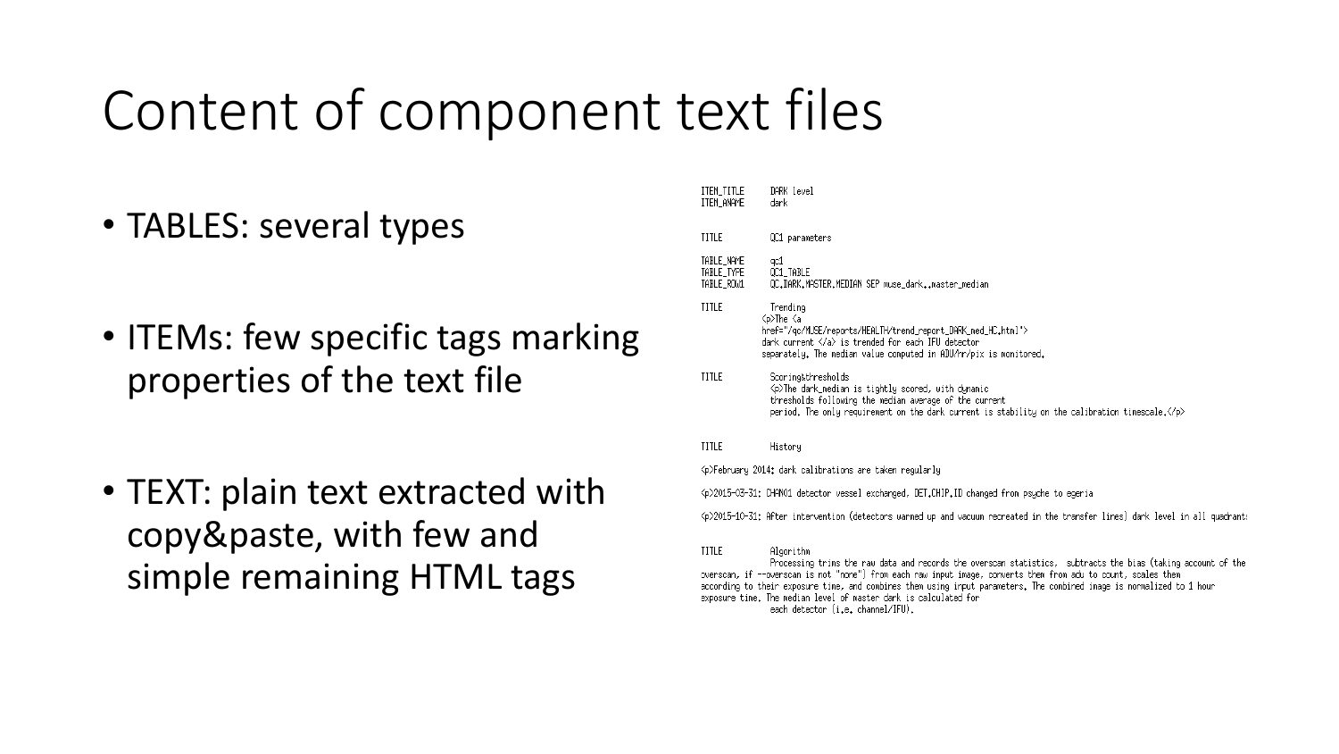## Content of component text files

- TABLES: several types
- ITEMs: few specific tags marking properties of the text file
- TEXT: plain text extracted with copy&paste, with few and simple remaining HTML tags

| ITEM_TITLE<br>item Aname               | DARK level<br>dark                                                                                                                                                                                                                                     |  |  |  |  |  |
|----------------------------------------|--------------------------------------------------------------------------------------------------------------------------------------------------------------------------------------------------------------------------------------------------------|--|--|--|--|--|
| TITLE                                  | QC1 parameters                                                                                                                                                                                                                                         |  |  |  |  |  |
| TABLE_NAME<br>TABLE_TYPE<br>TABLE_ROW1 | qc1<br>OC1 TABLE<br>QC.DARK.MASTER.MEDIAN SEP muse_darkmaster_median                                                                                                                                                                                   |  |  |  |  |  |
| TITLE                                  | Trending<br><́p>The <́a<br>href="/qc/MUSE/reports/HEALTH/trend_report_DARK_med_HC.html"><br>dark current $\langle a \rangle$ is trended for each IFU detector<br>separately. The median value computed in ADU/hr/pix is monitored.                     |  |  |  |  |  |
| TITLE                                  | Scoring&thresholds<br>√p>The dark_median is tightly scored, with dynamic<br>thresholds following the median average of the current<br>period. The only requirement on the dark current is stability on the calibration timescale. $\langle\!/p\rangle$ |  |  |  |  |  |
| TITLE                                  | History                                                                                                                                                                                                                                                |  |  |  |  |  |
|                                        | <p>February 2014: dark calibrations are taken regularly</p>                                                                                                                                                                                            |  |  |  |  |  |
|                                        | <p>2015-03-31: CHANO1 detector vessel exchanged, DET.CHIP.ID changed from psyche to egeria</p>                                                                                                                                                         |  |  |  |  |  |
|                                        | <p>2015-10-31; After intervention (detectors warmed up and vacuum recreated in the transfer lines) dark level in all quadrants</p>                                                                                                                     |  |  |  |  |  |
| TITLE                                  | Algorithm<br>Processing trims the raw data and records the overscan statistics, subtracts the bias (taking account of the                                                                                                                              |  |  |  |  |  |

king account of the overscan, if --overscan is not "none") from each raw input image, converts them from adu to count, scales them according to their exposure time, and combines them using input parameters. The combined image is normalized to 1 hour exposure time. The median level of master dark is calculated for each detector (i.e. channel/IFU).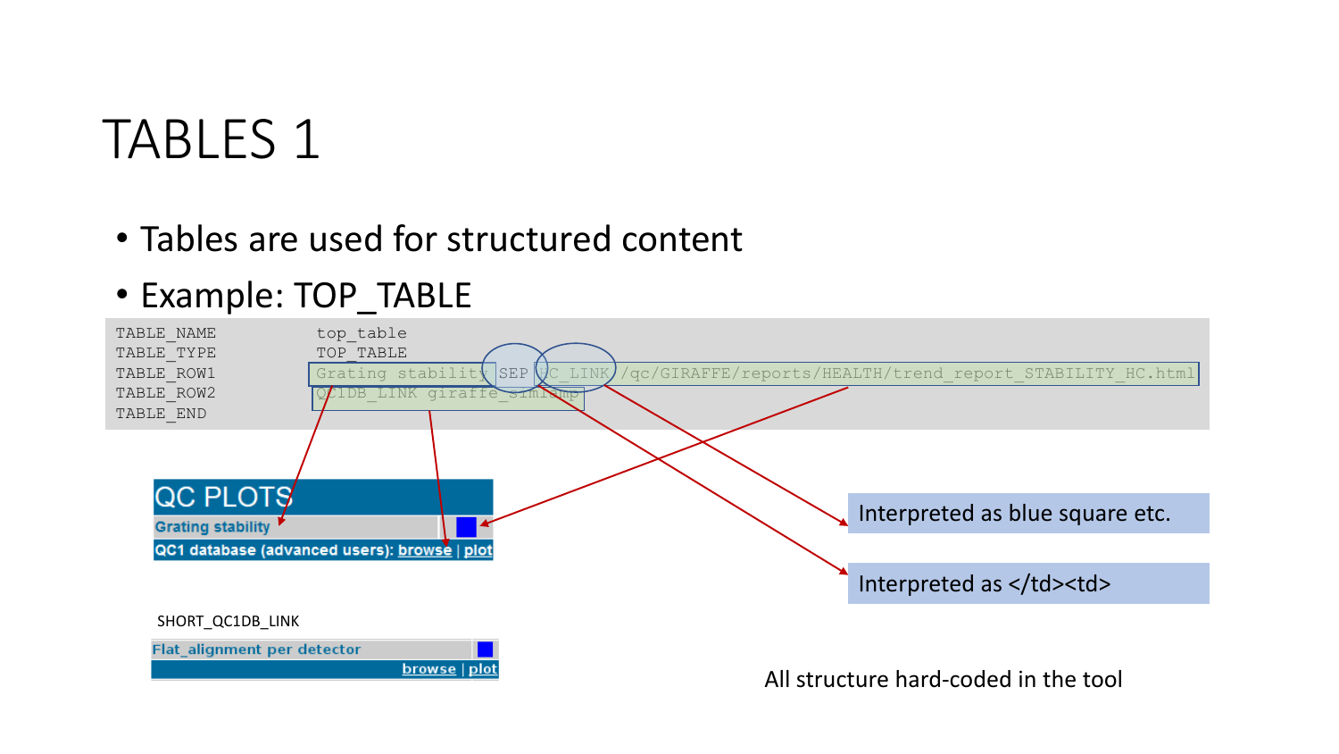### TABLES 1

• Tables are used for structured content

### • Example: TOP\_TABLE

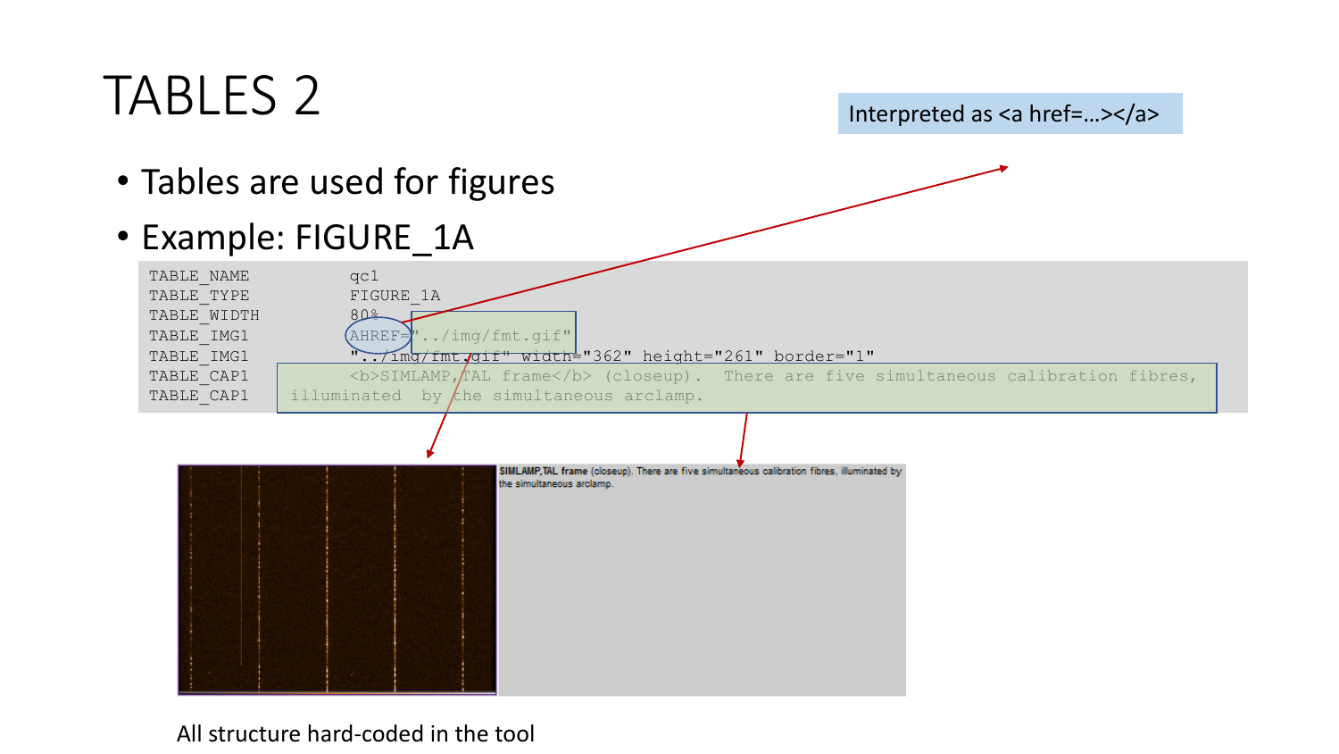## TABLES 2

Interpreted as <a href=...></a>

- Tables are used for figures
- Example: FIGURE\_1A



All structure hard-coded in the tool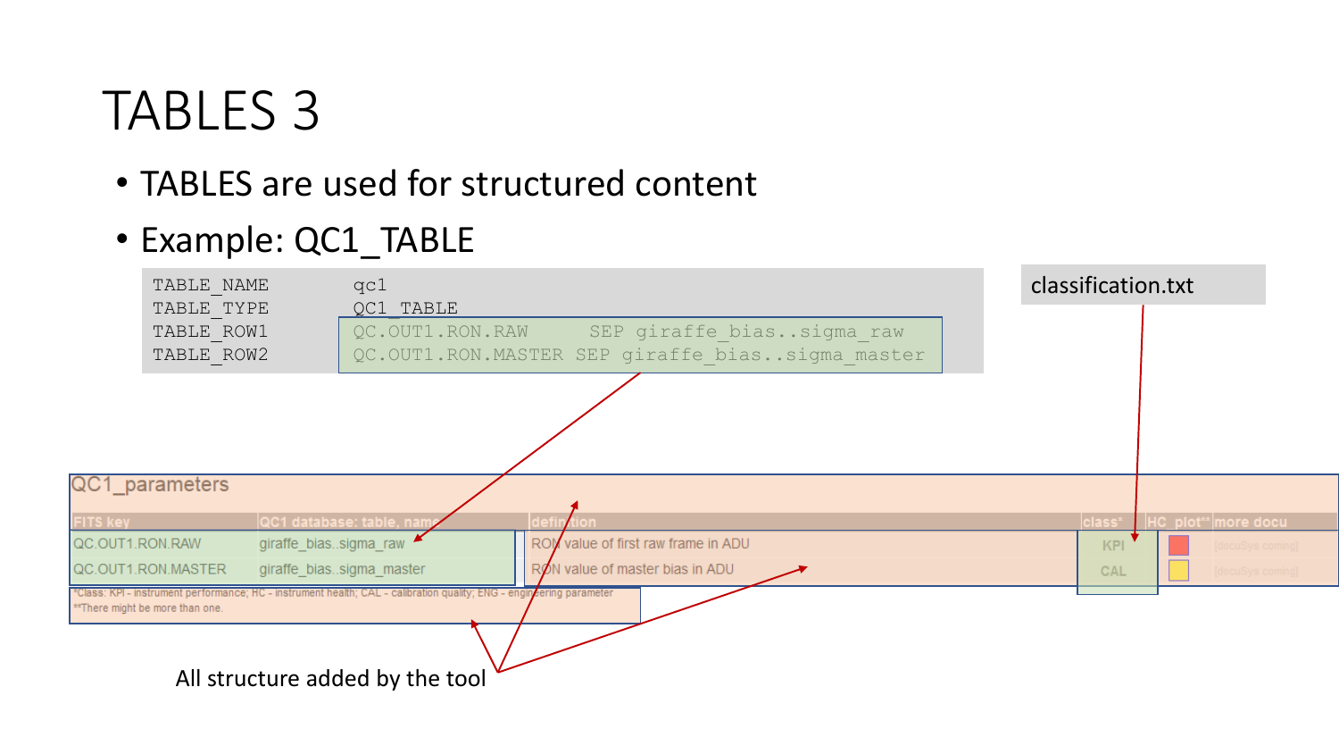### TABLES 3

- TABLES are used for structured content
- Example: QC1 TABLE

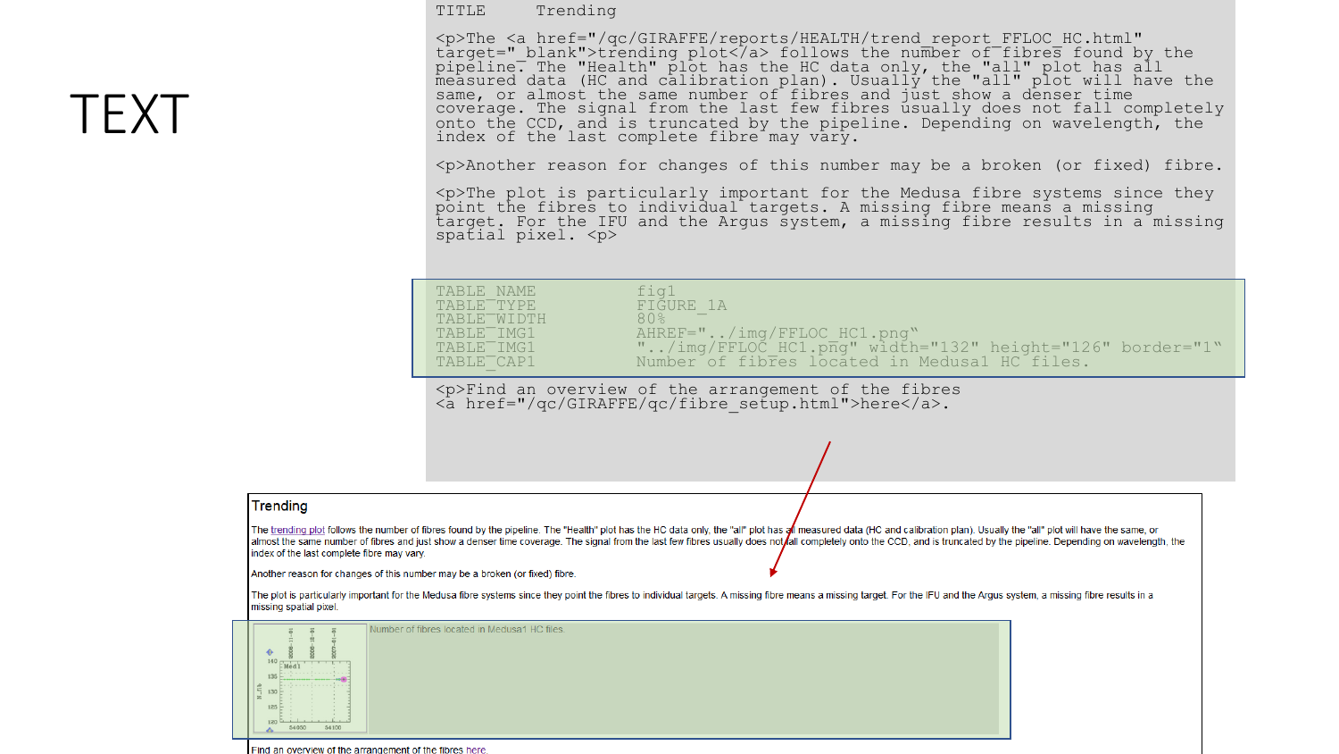#### TITLE Trending

<p>The <a href="/qc/GIRAFFE/reports/HEALTH/trend\_report\_FFLOC\_HC.html" target="\_blank">trending plot</a> follows the number of fibres found by the pipeline. The "Health" plot has the HC data only, the "all" plot has all measured data (HC and calibration plan). Usually the "all" plot will have the same, or almost the same number of fibres and just show a denser time coverage. The signal from the last few fibres usually does not fall completely onto the CCD, and is truncated by the pipeline. Depending on wavelength, the index of the last complete fibre may vary.

<p>Another reason for changes of this number may be a broken (or fixed) fibre.

<p>The plot is particularly important for the Medusa fibre systems since they point the fibres to individual targets. A missing fibre means a missing target. For the IFU and the Argus system, a missing fibre results in a missing spatial pixel.  $\langle p \rangle$ 

| TABLE NAME              | fia1                                                     |
|-------------------------|----------------------------------------------------------|
| TABLE <sup>-</sup> TYPE | FIGURE 1A                                                |
| TABLE WIDTH             | 80%                                                      |
| TABLE <sup>T</sup> IMG1 | AHREF="/img/FFLOC HC1.png"                               |
| TABLE <sup>T</sup> IMG1 | "/img/FFLOC HC1.png" width="132" height="126" border="1" |
| TABLE CAP1              | Number of fibres located in Medusal HC files.            |

<p>Find an overview of the arrangement of the fibres <a href="/qc/GIRAFFE/qc/fibre\_setup.html">here</a>.

**Trending** 

The trending plot follows the number of fibres found by the pipeline. The "Health" plot has the HC data only, the "all" plot has a measured data (HC and calibration plan). Usually the "all" plot will have the same, or almost the same number of fibres and just show a denser time coverage. The signal from the last few fibres usually does not fall completely onto the CCD, and is truncated by the pipeline. Depending on wavelength, the index of the last complete fibre may vary.

Another reason for changes of this number may be a broken (or fixed) fibre.

The plot is particularly important for the Medusa fibre systems since they point the fibres to individual targets. A missing fibre means a missing target. For the IFU and the Argus system, a missing fibre results in a missing spatial pixel.



Find an overview of the arrangement of the fibres here

### TEXT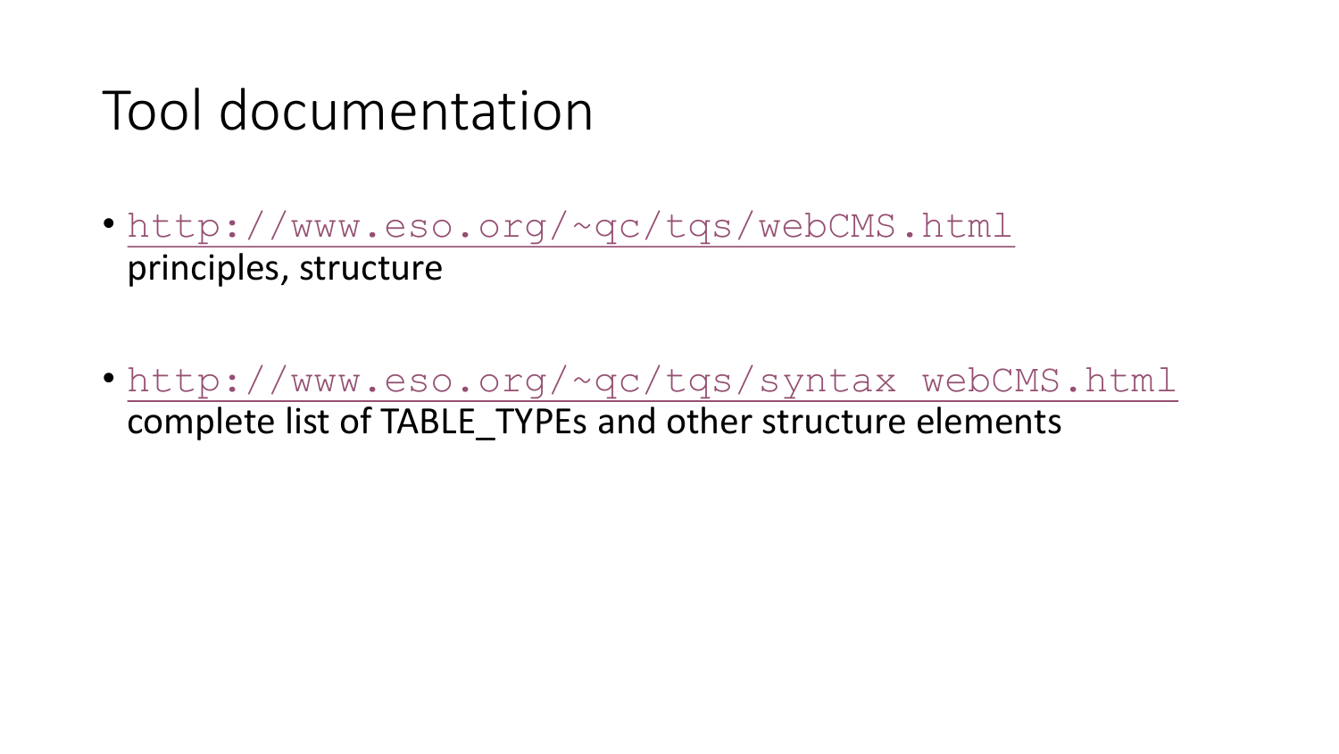### Tool documentation

- http://www.eso.org/~qc/tqs/webCMS.html principles, structure
- http://www.eso.org/~qc/tqs/syntax webCMS.html complete list of TABLE TYPEs and other structure elements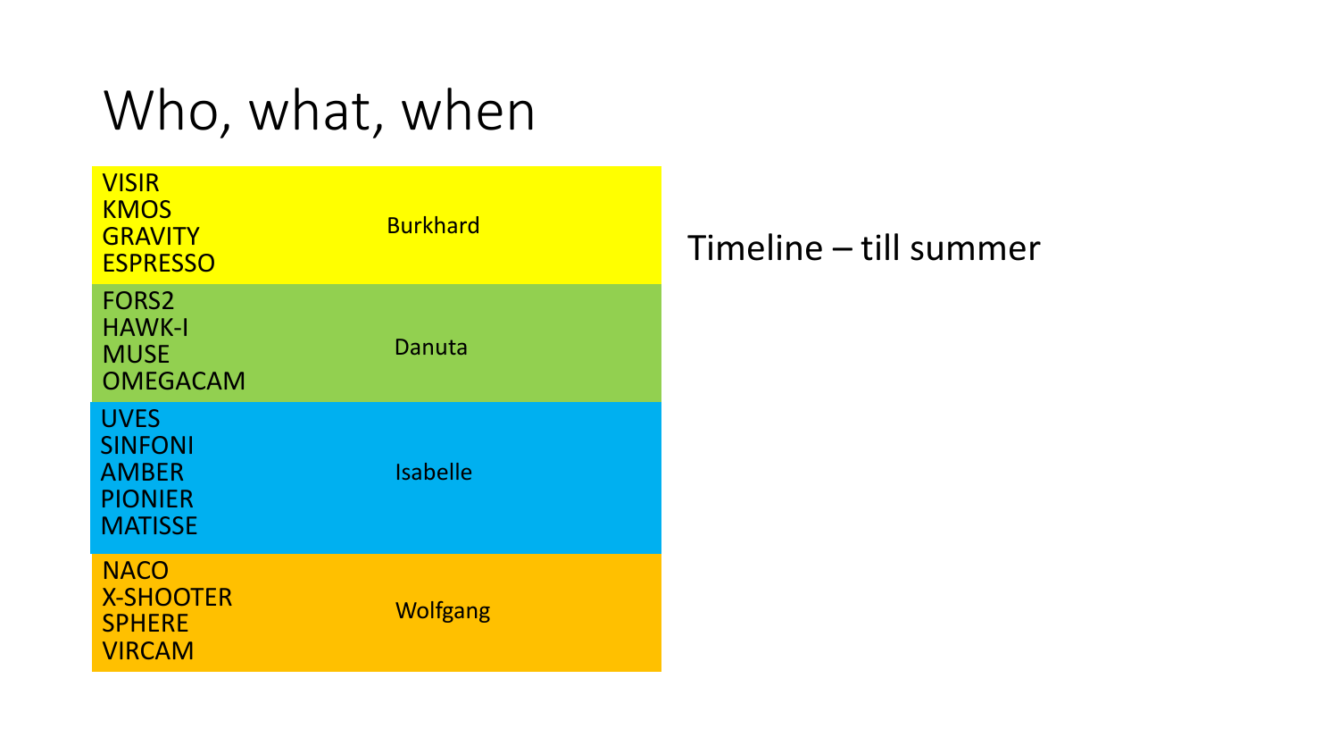## Who, what, when

| <b>VISIR</b><br><b>KMOS</b><br><b>GRAVITY</b><br><b>ESPRESSO</b>                  | <b>Burkhard</b> |  |
|-----------------------------------------------------------------------------------|-----------------|--|
| FORS <sub>2</sub><br>HAWK-I<br><b>MUSE</b><br><b>OMEGACAM</b>                     | Danuta          |  |
| <b>UVES</b><br><b>SINFONI</b><br><b>AMBER</b><br><b>PIONIER</b><br><b>MATISSE</b> | <b>Isabelle</b> |  |
| <b>NACO</b><br><b>X-SHOOTER</b><br><b>SPHERE</b><br><b>VIRCAM</b>                 | <b>Wolfgang</b> |  |

### Timeline - till summer